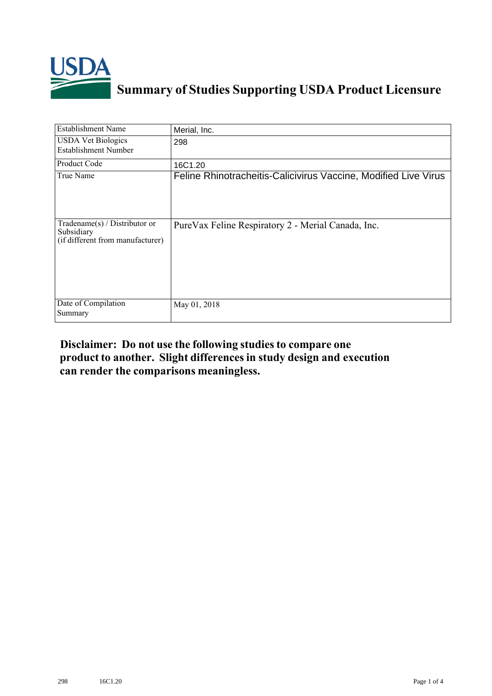

## **Summary of Studies Supporting USDA Product Licensure**

| <b>Establishment Name</b>                                                          | Merial, Inc.                                                    |
|------------------------------------------------------------------------------------|-----------------------------------------------------------------|
| <b>USDA Vet Biologics</b><br><b>Establishment Number</b>                           | 298                                                             |
| <b>Product Code</b>                                                                | 16C1.20                                                         |
| True Name                                                                          | Feline Rhinotracheitis-Calicivirus Vaccine, Modified Live Virus |
| Tradename $(s)$ / Distributor or<br>Subsidiary<br>(if different from manufacturer) | PureVax Feline Respiratory 2 - Merial Canada, Inc.              |
| Date of Compilation<br>Summary                                                     | May 01, 2018                                                    |

## **Disclaimer: Do not use the following studiesto compare one product to another. Slight differencesin study design and execution can render the comparisons meaningless.**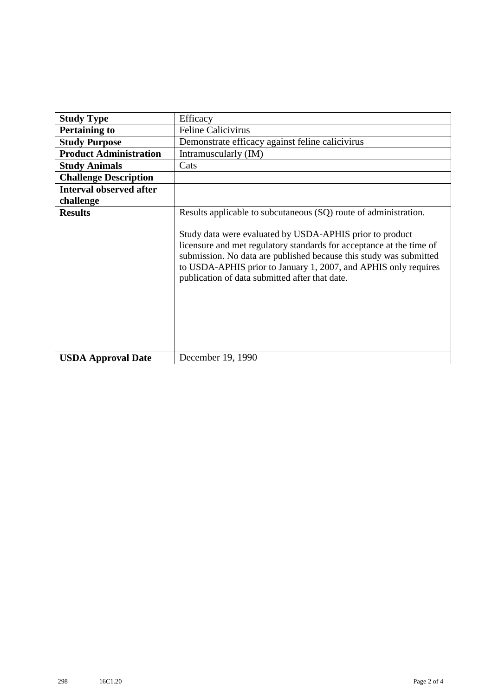| <b>Study Type</b>              | Efficacy                                                                                                                                                                                                                                                                                                                                                                                        |
|--------------------------------|-------------------------------------------------------------------------------------------------------------------------------------------------------------------------------------------------------------------------------------------------------------------------------------------------------------------------------------------------------------------------------------------------|
| <b>Pertaining to</b>           | <b>Feline Calicivirus</b>                                                                                                                                                                                                                                                                                                                                                                       |
| <b>Study Purpose</b>           | Demonstrate efficacy against feline calicivirus                                                                                                                                                                                                                                                                                                                                                 |
| <b>Product Administration</b>  | Intramuscularly (IM)                                                                                                                                                                                                                                                                                                                                                                            |
| <b>Study Animals</b>           | Cats                                                                                                                                                                                                                                                                                                                                                                                            |
| <b>Challenge Description</b>   |                                                                                                                                                                                                                                                                                                                                                                                                 |
| <b>Interval observed after</b> |                                                                                                                                                                                                                                                                                                                                                                                                 |
| challenge                      |                                                                                                                                                                                                                                                                                                                                                                                                 |
| <b>Results</b>                 | Results applicable to subcutaneous (SQ) route of administration.<br>Study data were evaluated by USDA-APHIS prior to product<br>licensure and met regulatory standards for acceptance at the time of<br>submission. No data are published because this study was submitted<br>to USDA-APHIS prior to January 1, 2007, and APHIS only requires<br>publication of data submitted after that date. |
| <b>USDA Approval Date</b>      | December 19, 1990                                                                                                                                                                                                                                                                                                                                                                               |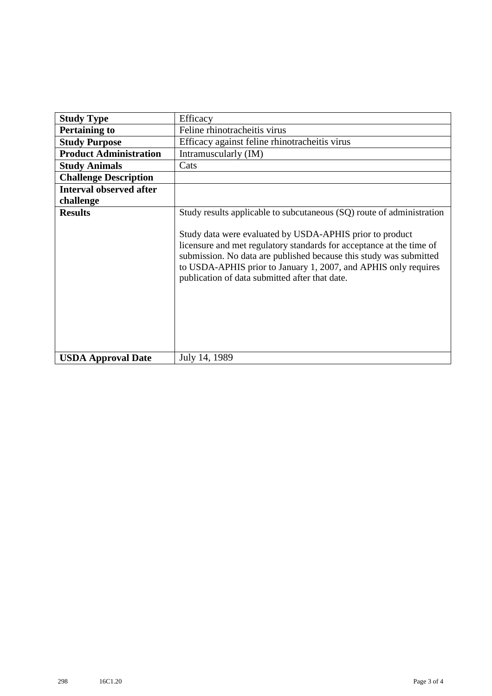| <b>Study Type</b>              | Efficacy                                                                                                                                                                                                                                                                                                                                                                                             |
|--------------------------------|------------------------------------------------------------------------------------------------------------------------------------------------------------------------------------------------------------------------------------------------------------------------------------------------------------------------------------------------------------------------------------------------------|
| <b>Pertaining to</b>           | Feline rhinotracheitis virus                                                                                                                                                                                                                                                                                                                                                                         |
| <b>Study Purpose</b>           | Efficacy against feline rhinotracheitis virus                                                                                                                                                                                                                                                                                                                                                        |
| <b>Product Administration</b>  | Intramuscularly (IM)                                                                                                                                                                                                                                                                                                                                                                                 |
| <b>Study Animals</b>           | Cats                                                                                                                                                                                                                                                                                                                                                                                                 |
| <b>Challenge Description</b>   |                                                                                                                                                                                                                                                                                                                                                                                                      |
| <b>Interval observed after</b> |                                                                                                                                                                                                                                                                                                                                                                                                      |
| challenge                      |                                                                                                                                                                                                                                                                                                                                                                                                      |
| <b>Results</b>                 | Study results applicable to subcutaneous (SQ) route of administration<br>Study data were evaluated by USDA-APHIS prior to product<br>licensure and met regulatory standards for acceptance at the time of<br>submission. No data are published because this study was submitted<br>to USDA-APHIS prior to January 1, 2007, and APHIS only requires<br>publication of data submitted after that date. |
| <b>USDA Approval Date</b>      | July 14, 1989                                                                                                                                                                                                                                                                                                                                                                                        |